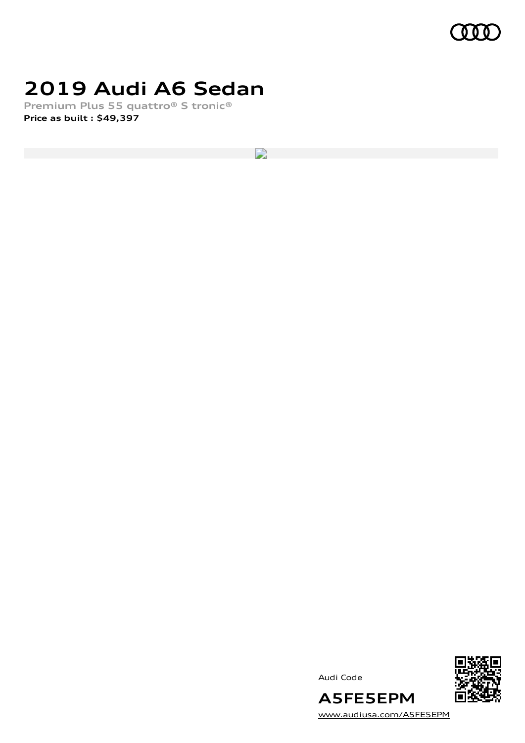

# **2019 Audi A6 Sedan**

**Premium Plus 55 quattro® S tronic® Price as built [:](#page-8-0) \$49,397**

 $\overline{\phantom{a}}$ 





[www.audiusa.com/A5FE5EPM](https://www.audiusa.com/A5FE5EPM)

**A5FE5EPM**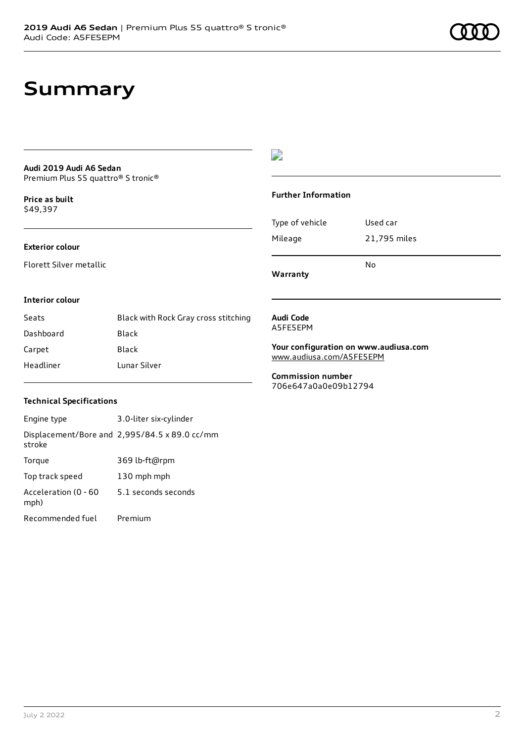# **Summary**

#### **Audi 2019 Audi A6 Sedan** Premium Plus 55 quattro® S tronic®

**Price as buil[t](#page-8-0)** \$49,397

#### **Exterior colour**

Florett Silver metallic

### $\overline{\phantom{a}}$

#### **Further Information**

|                 | N٥           |  |
|-----------------|--------------|--|
| Mileage         | 21,795 miles |  |
| Type of vehicle | Used car     |  |

**Warranty**

#### **Interior colour**

| Seats     | Black with Rock Gray cross stitching |
|-----------|--------------------------------------|
| Dashboard | Black                                |
| Carpet    | Black                                |
| Headliner | Lunar Silver                         |

#### **Audi Code** A5FE5EPM

**Your configuration on www.audiusa.com**

[www.audiusa.com/A5FE5EPM](https://www.audiusa.com/A5FE5EPM)

**Commission number** 706e647a0a0e09b12794

#### **Technical Specifications**

| Engine type                  | 3.0-liter six-cylinder                        |
|------------------------------|-----------------------------------------------|
| stroke                       | Displacement/Bore and 2,995/84.5 x 89.0 cc/mm |
| Torque                       | 369 lb-ft@rpm                                 |
| Top track speed              | 130 mph mph                                   |
| Acceleration (0 - 60<br>mph) | 5.1 seconds seconds                           |
| Recommended fuel             | Premium                                       |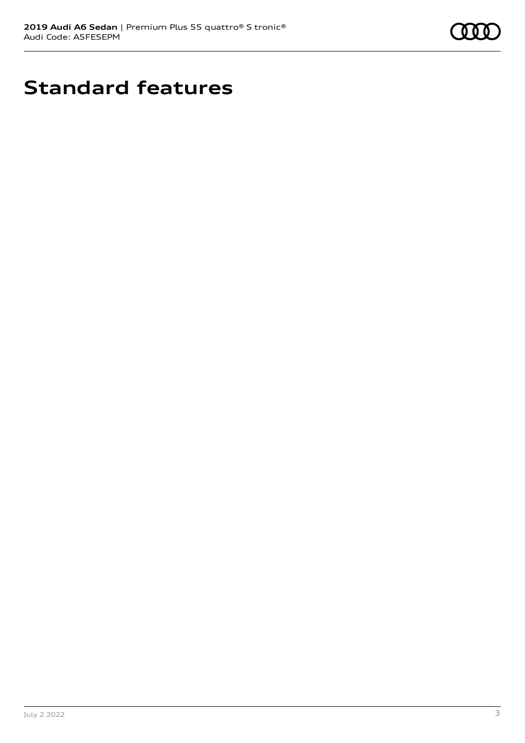

# **Standard features**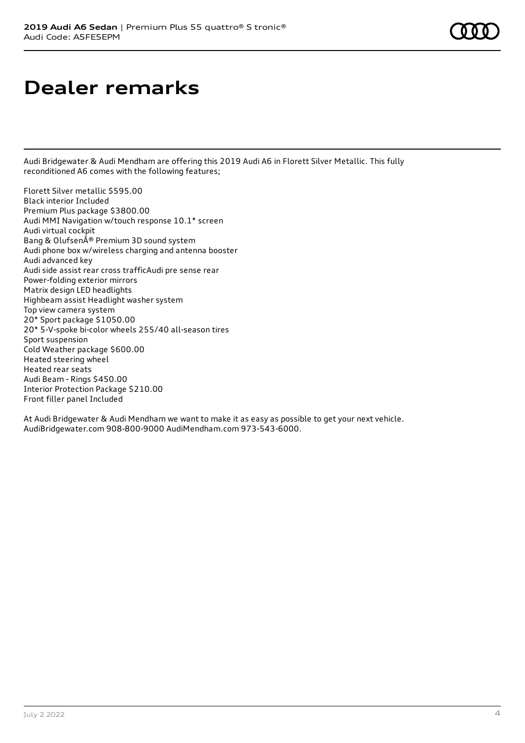# **Dealer remarks**

Audi Bridgewater & Audi Mendham are offering this 2019 Audi A6 in Florett Silver Metallic. This fully reconditioned A6 comes with the following features;

Florett Silver metallic \$595.00 Black interior Included Premium Plus package \$3800.00 Audi MMI Navigation w/touch response 10.1\* screen Audi virtual cockpit Bang & OlufsenÅ® Premium 3D sound system Audi phone box w/wireless charging and antenna booster Audi advanced key Audi side assist rear cross trafficAudi pre sense rear Power-folding exterior mirrors Matrix design LED headlights Highbeam assist Headlight washer system Top view camera system 20\* Sport package \$1050.00 20\* 5-V-spoke bi-color wheels 255/40 all-season tires Sport suspension Cold Weather package \$600.00 Heated steering wheel Heated rear seats Audi Beam - Rings \$450.00 Interior Protection Package \$210.00 Front filler panel Included

At Audi Bridgewater & Audi Mendham we want to make it as easy as possible to get your next vehicle. AudiBridgewater.com 908-800-9000 AudiMendham.com 973-543-6000.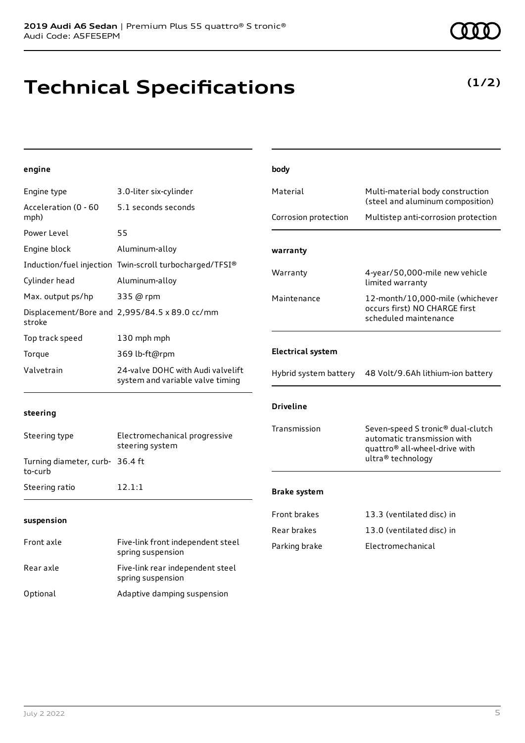Audi Code: A5FE5EPM

# **Technical Specifications**

**2019 Audi A6 Sedan** | Premium Plus 55 quattro® S tronic®

### **engine**

| Engine type                                | 3.0-liter six-cylinder                                                | Material                 | Multi-material body construction                                                                                          |
|--------------------------------------------|-----------------------------------------------------------------------|--------------------------|---------------------------------------------------------------------------------------------------------------------------|
| Acceleration (0 - 60<br>mph)               | 5.1 seconds seconds                                                   | Corrosion protection     | (steel and aluminum composition)<br>Multistep anti-corrosion protection                                                   |
| Power Level                                | 55                                                                    |                          |                                                                                                                           |
| Engine block                               | Aluminum-alloy                                                        | warranty                 |                                                                                                                           |
|                                            | Induction/fuel injection Twin-scroll turbocharged/TFSI®               |                          |                                                                                                                           |
| Cylinder head                              | Aluminum-alloy                                                        | Warranty                 | 4-year/50,000-mile new vehicle<br>limited warranty                                                                        |
| Max. output ps/hp                          | 335 @ rpm                                                             | Maintenance              | 12-month/10,000-mile (whichever                                                                                           |
| stroke                                     | Displacement/Bore and 2,995/84.5 x 89.0 cc/mm                         |                          | occurs first) NO CHARGE first<br>scheduled maintenance                                                                    |
| Top track speed                            | 130 mph mph                                                           |                          |                                                                                                                           |
| Torque                                     | 369 lb-ft@rpm                                                         | <b>Electrical system</b> |                                                                                                                           |
| Valvetrain                                 | 24-valve DOHC with Audi valvelift<br>system and variable valve timing | Hybrid system battery    | 48 Volt/9.6Ah lithium-ion battery                                                                                         |
| steering                                   |                                                                       | <b>Driveline</b>         |                                                                                                                           |
| Steering type                              | Electromechanical progressive<br>steering system                      | Transmission             | Seven-speed S tronic <sup>®</sup> dual-clutch<br>automatic transmission with<br>quattro <sup>®</sup> all-wheel-drive with |
| Turning diameter, curb- 36.4 ft<br>to-curb |                                                                       |                          | ultra® technology                                                                                                         |
| Steering ratio                             | 12.1:1                                                                | <b>Brake system</b>      |                                                                                                                           |
| suspension                                 |                                                                       | Front brakes             | 13.3 (ventilated disc) in                                                                                                 |
|                                            |                                                                       | Rear brakes              | 13.0 (ventilated disc) in                                                                                                 |
| Front axle                                 | Five-link front independent steel<br>spring suspension                | Parking brake            | Electromechanical                                                                                                         |
| Rear axle                                  | Five-link rear independent steel<br>spring suspension                 |                          |                                                                                                                           |
| Optional                                   | Adaptive damping suspension                                           |                          |                                                                                                                           |

**body**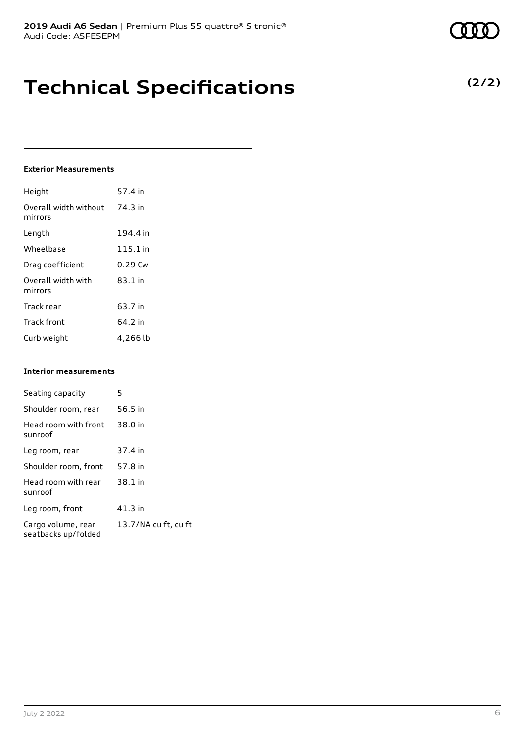# **Technical Specifications**

#### **Exterior Measurements**

| Height                           | 57.4 in   |
|----------------------------------|-----------|
| Overall width without<br>mirrors | 74.3 in   |
| Length                           | 194.4 in  |
| Wheelbase                        | 115.1 in  |
| Drag coefficient                 | $0.29$ Cw |
| Overall width with<br>mirrors    | $83.1$ in |
| Track rear                       | 63.7 in   |
| <b>Track front</b>               | 64.2 in   |
| Curb weight                      | 4,266 lb  |

#### **Interior measurements**

| Seating capacity                          | 5                    |
|-------------------------------------------|----------------------|
|                                           |                      |
| Shoulder room, rear                       | 56.5 in              |
| Head room with front<br>sunroof           | 38.0 in              |
| Leg room, rear                            | 37.4 in              |
| Shoulder room, front                      | 57.8 in              |
| Head room with rear<br>sunroof            | 38.1 in              |
| Leg room, front                           | 41.3 in              |
| Cargo volume, rear<br>seatbacks up/folded | 13.7/NA cu ft, cu ft |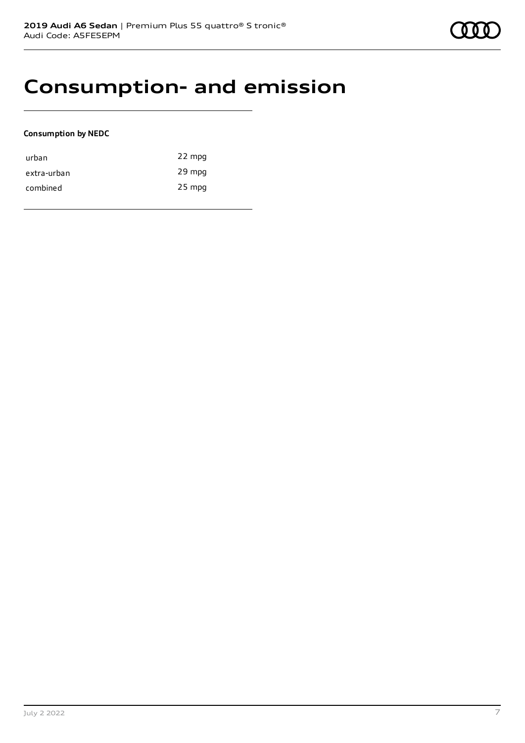# **Consumption- and emission**

### **Consumption by NEDC**

| urban       | 22 mpg   |
|-------------|----------|
| extra-urban | 29 mpg   |
| combined    | $25$ mpg |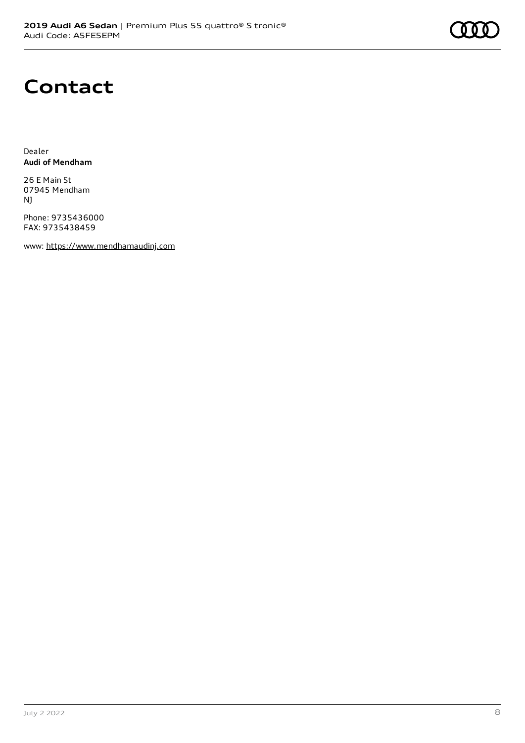## **Contact**

Dealer **Audi of Mendham**

26 E Main St 07945 Mendham NJ

Phone: 9735436000 FAX: 9735438459

www: [https://www.mendhamaudinj.com](https://www.mendhamaudinj.com/)